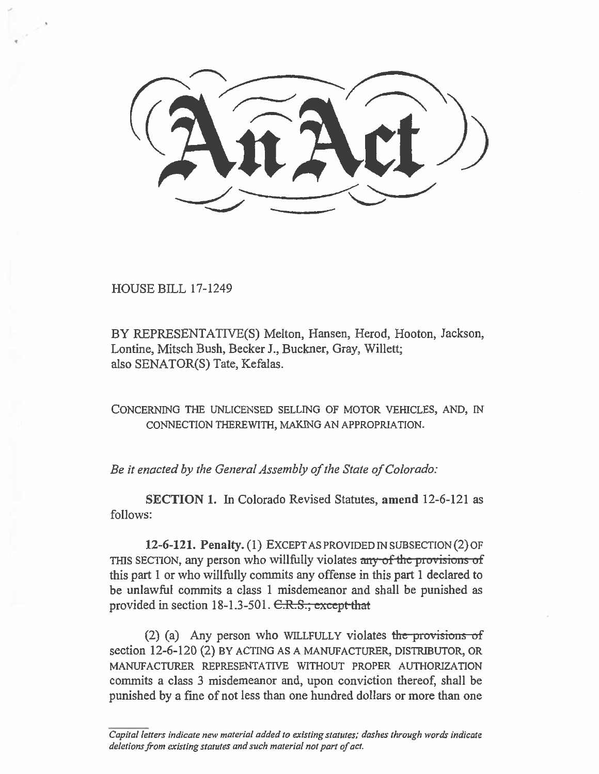HOUSE BILL 17-1249

BY REPRESENTATIVE(S) Melton, Hansen, Herod, Hooton, Jackson, Lontine, Mitsch Bush, Becker J., Buckner, Gray, Willett; also SENATOR(S) Tate, Kefalas.

CONCERNING THE UNLICENSED SELLING OF MOTOR VEHICLES, AND, IN CONNECTION THEREWITH, MAKING AN APPROPRIATION.

*Be it enacted by the General Assembly of the State of Colorado:* 

**SECTION 1.** In Colorado Revised Statutes, **amend** 12-6-121 as follows:

**12-6-121. Penalty. (1)** EXCEPT AS PROVIDED IN SUBSECTION (2) OF THIS SECTION, any person who willfully violates any of the provisions of this part I or who willfully commits any offense in this part 1 declared to be unlawful commits a class 1 misdemeanor and shall be punished as provided in section  $18-1.3-501$ .  $C.R.S.;$  except that

(2) (a) Any person who WILLFULLY violates the provisions of section 12-6-120 (2) BY ACTING AS A MANUFACTURER, DISTRIBUTOR, OR MANUFACTURER REPRESENTATIVE WITHOUT PROPER AUTHORIZATION commits a class 3 misdemeanor and, upon conviction thereof, shall be punished by a fine of not less than one hundred dollars or more than one

*Capital letters indicate new material added to existing statutes; dashes through words indicate deletions from existing statutes and such material not part of act.*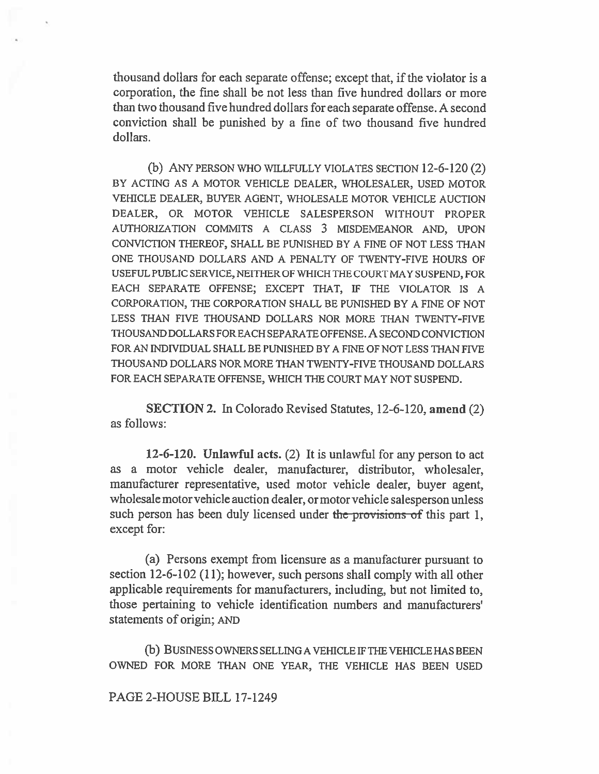thousand dollars for each separate offense; except that, if the violator is a corporation, the fine shall be not less than five hundred dollars or more than two thousand five hundred dollars for each separate offense. A second conviction shall be punished by a fine of two thousand five hundred dollars.

(b) ANY PERSON WHO WILLFULLY VIOLATES SECTION 12-6-120 (2) BY ACTING AS A MOTOR VEHICLE DEALER, WHOLESALER, USED MOTOR VEHICLE DEALER, BUYER AGENT, WHOLESALE MOTOR VEHICLE AUCTION DEALER, OR MOTOR VEHICLE SALESPERSON WITHOUT PROPER AUTHORIZATION COMMITS A CLASS 3 MISDEMEANOR AND, UPON CONVICTION THEREOF, SHALL BE PUNISHED BY A FINE OF NOT LESS THAN ONE THOUSAND DOLLARS AND A PENALTY OF TWENTY-FIVE HOURS OF USEFUL PUBLIC SERVICE, NEITHER OF WHICH THE COURT MAY SUSPEND, FOR EACH SEPARATE OFFENSE; EXCEPT THAT, IF THE VIOLATOR IS A CORPORATION, THE CORPORATION SHALL BE PUNISHED BY A FINE OF NOT LESS THAN FIVE THOUSAND DOLLARS NOR MORE THAN TWENTY-FIVE THOUSAND DOLLARS FOR EACH SEPARATE OFFENSE. A SECOND CONVICTION FOR AN INDIVIDUAL SHALL BE PUNISHED BY A FINE OF NOT LESS THAN FIVE THOUSAND DOLLARS NOR MORE THAN TWENTY-FIVE THOUSAND DOLLARS FOR EACH SEPARATE OFFENSE, WHICH THE COURT MAY NOT SUSPEND.

**SECTION 2. In** Colorado Revised Statutes, 12-6-120, **amend** (2) as follows:

**12-6-120. Unlawful acts.** (2) It is unlawful for any person to act as a motor vehicle dealer, manufacturer, distributor, wholesaler, manufacturer representative, used motor vehicle dealer, buyer agent, wholesale motor vehicle auction dealer, or motor vehicle salesperson unless such person has been duly licensed under the provisions of this part 1, except for:

(a) Persons exempt from licensure as a manufacturer pursuant to section 12-6-102 (11); however, such persons shall comply with all other applicable requirements for manufacturers, including, but not limited to, those pertaining to vehicle identification numbers and manufacturers' statements of origin; AND

(b) BUSINESS OWNERS SELLING A VEHICLE IF THE VEHICLE HAS BEEN OWNED FOR MORE THAN ONE YEAR, THE VEHICLE HAS BEEN USED

PAGE 2-HOUSE BILL 17-1249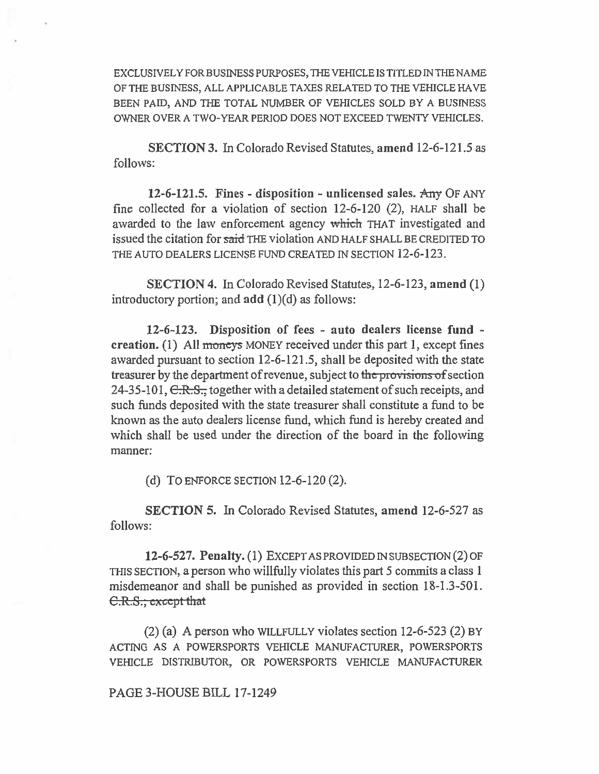EXCLUSIVELY FOR BUSINESS PURPOSES, THE VEHICLE IS TITLED IN THE NAME OF THE BUSINESS, ALL APPLICABLE TAXES RELATED TO THE VEHICLE HAVE BEEN PAID, AND THE TOTAL NUMBER OF VEHICLES SOLD BY A BUSINESS OWNER OVER A TWO-YEAR PERIOD DOES NOT EXCEED TWENTY VEHICLES.

**SECTION 3. In Colorado Revised Statutes, amend 12-6-121.5 as follows:** 

**12-6-121.5. Fines - disposition - unlicensed sales. \*any** OF ANY **fine collected for a violation of section 12-6-120 (2),** HALF **shall be**  awarded to the law enforcement agency which THAT investigated and **issued the citation for said** THE **violation** AND HALF SHALL BE CREDITED TO THE AUTO DEALERS LICENSE FUND CREATED IN SECTION **12-6-123.** 

**SECTION 4. In Colorado Revised Statutes, 12-6-123, amend (1) introductory portion; and add (1)(d) as follows:** 

**12-6-123. Disposition of fees - auto dealers license fund creation.** (1) All moneys MONEY received under this part 1, except fines **awarded pursuant to section 12-6-121.5, shall be deposited with the state treasurer by the department of revenue, subject to the provisions of section 24-35-101, C.R.S., together with a detailed statement of such receipts, and such funds deposited with the state treasurer shall constitute a fund to be known as the auto dealers license fund, which fund is hereby created and which shall be used under the direction of the board in the following manner:** 

**(d)** TO ENFORCE SECTION **12-6-120 (2).** 

**SECTION 5. In Colorado Revised Statutes, amend 12-6-527 as follows:** 

**12-6-527. Penalty. (1)** EXCEPT AS PROVIDED IN SUBSECTION **(2)** OF THIS SECTION, **a person who willfully violates this part 5 commits a class 1 misdemeanor and shall be punished as provided in section 18-1.3-501. C.R.S.; except that** 

**(2) (a) A person who** WILLFULLY **violates section 12-6-523 (2)** BY ACTING AS A POWERSPORTS VEHICLE MANUFACTURER, POWERSPORTS VEHICLE DISTRIBUTOR, OR POWERSPORTS VEHICLE MANUFACTURER

**PAGE 3-HOUSE BILL 17-1249**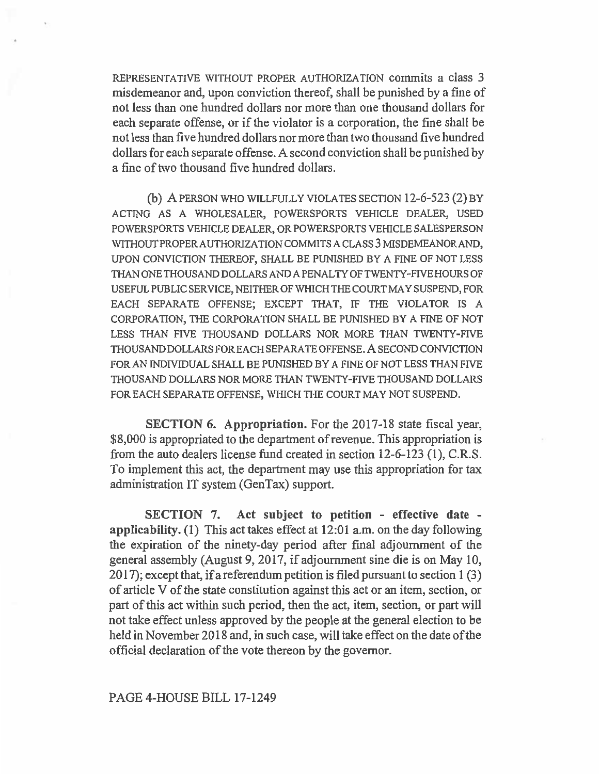REPRESENTATIVE WITHOUT PROPER AUTHORIZATION commits a class 3 misdemeanor and, upon conviction thereof, shall be punished by a fine of not less than one hundred dollars nor more than one thousand dollars for each separate offense, or if the violator is a corporation, the fine shall be not less than five hundred dollars nor more than two thousand five hundred dollars for each separate offense. A second conviction shall be punished by a fine of two thousand five hundred dollars.

(b) A PERSON WHO WILLFULLY VIOLATES SECTION 12-6-523 (2) BY ACTING AS A WHOLESALER, POWERSPORTS VEHICLE DEALER, USED POWERSPORTS VEHICLE DEALER, OR POWERSPORTS VEHICLE SALESPERSON WITHOUT PROPER AUTHORIZATION COMMITS A CLASS 3 MISDEMEANOR AND, UPON CONVICTION THEREOF, SHALL BE PUNISHED BY A FINE OF NOT LESS THAN ONE THOUSAND DOLLARS AND A PENALTY OF TWENTY-FIVE HOURS OF USEFUL PUBLIC SERVICE, NEITHER OF WHICH THE COURT MAY SUSPEND, FOR EACH SEPARATE OFFENSE; EXCEPT THAT, IF THE VIOLATOR IS A CORPORATION, THE CORPORATION SHALL BE PUNISHED BY A FINE OF NOT LESS THAN FIVE THOUSAND DOLLARS NOR MORE THAN TWENTY-FIVE THOUSAND DOLLARS FOR EACH SEPARATE OFFENSE. A SECOND CONVICTION FOR AN INDIVIDUAL SHALL BE PUNISHED BY A FINE OF NOT LESS THAN FIVE THOUSAND DOLLARS NOR MORE THAN TWENTY-FIVE THOUSAND DOLLARS FOR EACH SEPARATE OFFENSE, WHICH THE COURT MAY NOT SUSPEND.

**SECTION 6. Appropriation.** For the 2017-18 state fiscal year, \$8,000 is appropriated to the department of revenue. This appropriation is from the auto dealers license fund created in section 12-6-123 (1), C.R.S. To implement this act, the department may use this appropriation for tax administration IT system (GenTax) support.

**SECTION** 7. **Act subject to petition - effective date applicability.** (1) This act takes effect at 12:01 a.m. on the day following the expiration of the ninety-day period after final adjournment of the general assembly (August 9, 2017, if adjournment sine die is on May 10, 2017); except that, if a referendum petition is filed pursuant to section 1(3) of article V of the state constitution against this act or an item, section, or part of this act within such period, then the act, item, section, or part will not take effect unless approved by the people at the general election to be held in November 2018 and, in such case, will take effect on the date of the official declaration of the vote thereon by the governor.

## PAGE 4-HOUSE BILL 17-1249